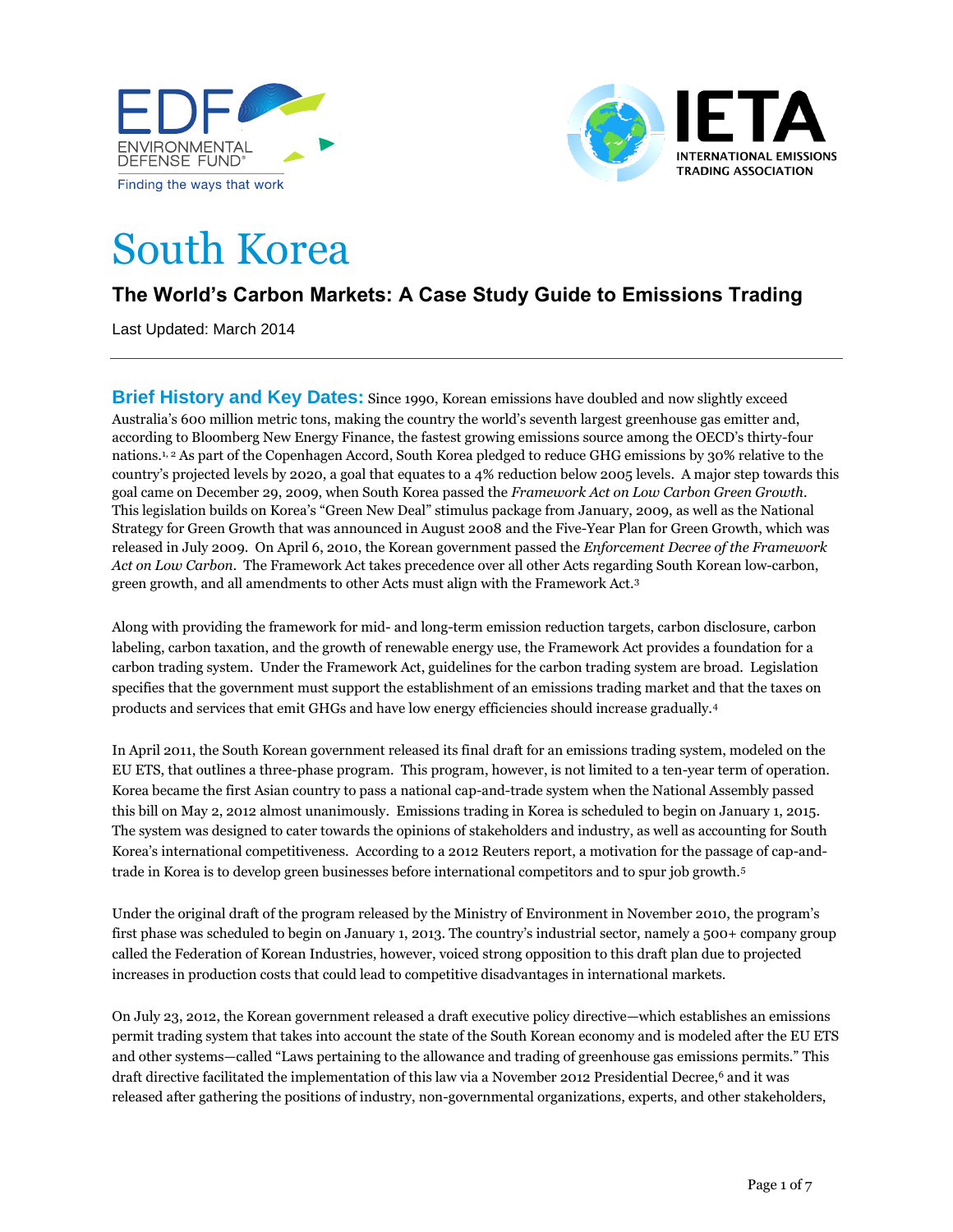



# South Korea

# **The World's Carbon Markets: A Case Study Guide to Emissions Trading**

Last Updated: March 2014

**Brief History and Key Dates:** Since 1990, Korean emissions have doubled and now slightly exceed Australia's 600 million metric tons, making the country the world's seventh largest greenhouse gas emitter and, according to Bloomberg New Energy Finance, the fastest growing emissions source among the OECD's thirty-four nations.<sup>1, 2</sup> As part of the Copenhagen Accord, South Korea pledged to reduce GHG emissions by 30% relative to the country's projected levels by 2020, a goal that equates to a 4% reduction below 2005 levels. A major step towards this goal came on December 29, 2009, when South Korea passed the *Framework Act on Low Carbon Green Growth*. This legislation builds on Korea's "Green New Deal" stimulus package from January, 2009, as well as the National Strategy for Green Growth that was announced in August 2008 and the Five-Year Plan for Green Growth, which was released in July 2009. On April 6, 2010, the Korean government passed the *Enforcement Decree of the Framework Act on Low Carbon*. The Framework Act takes precedence over all other Acts regarding South Korean low-carbon, green growth, and all amendments to other Acts must align with the Framework Act.<sup>3</sup>

Along with providing the framework for mid- and long-term emission reduction targets, carbon disclosure, carbon labeling, carbon taxation, and the growth of renewable energy use, the Framework Act provides a foundation for a carbon trading system. Under the Framework Act, guidelines for the carbon trading system are broad. Legislation specifies that the government must support the establishment of an emissions trading market and that the taxes on products and services that emit GHGs and have low energy efficiencies should increase gradually.<sup>4</sup>

In April 2011, the South Korean government released its final draft for an emissions trading system, modeled on the EU ETS, that outlines a three-phase program. This program, however, is not limited to a ten-year term of operation. Korea became the first Asian country to pass a national cap-and-trade system when the National Assembly passed this bill on May 2, 2012 almost unanimously. Emissions trading in Korea is scheduled to begin on January 1, 2015. The system was designed to cater towards the opinions of stakeholders and industry, as well as accounting for South Korea's international competitiveness. According to a 2012 Reuters report, a motivation for the passage of cap-andtrade in Korea is to develop green businesses before international competitors and to spur job growth.<sup>5</sup>

Under the original draft of the program released by the Ministry of Environment in November 2010, the program's first phase was scheduled to begin on January 1, 2013. The country's industrial sector, namely a 500+ company group called the Federation of Korean Industries, however, voiced strong opposition to this draft plan due to projected increases in production costs that could lead to competitive disadvantages in international markets.

On July 23, 2012, the Korean government released a draft executive policy directive—which establishes an emissions permit trading system that takes into account the state of the South Korean economy and is modeled after the EU ETS and other systems—called "Laws pertaining to the allowance and trading of greenhouse gas emissions permits." This draft directive facilitated the implementation of this law via a November 2012 Presidential Decree, <sup>6</sup> and it was released after gathering the positions of industry, non-governmental organizations, experts, and other stakeholders,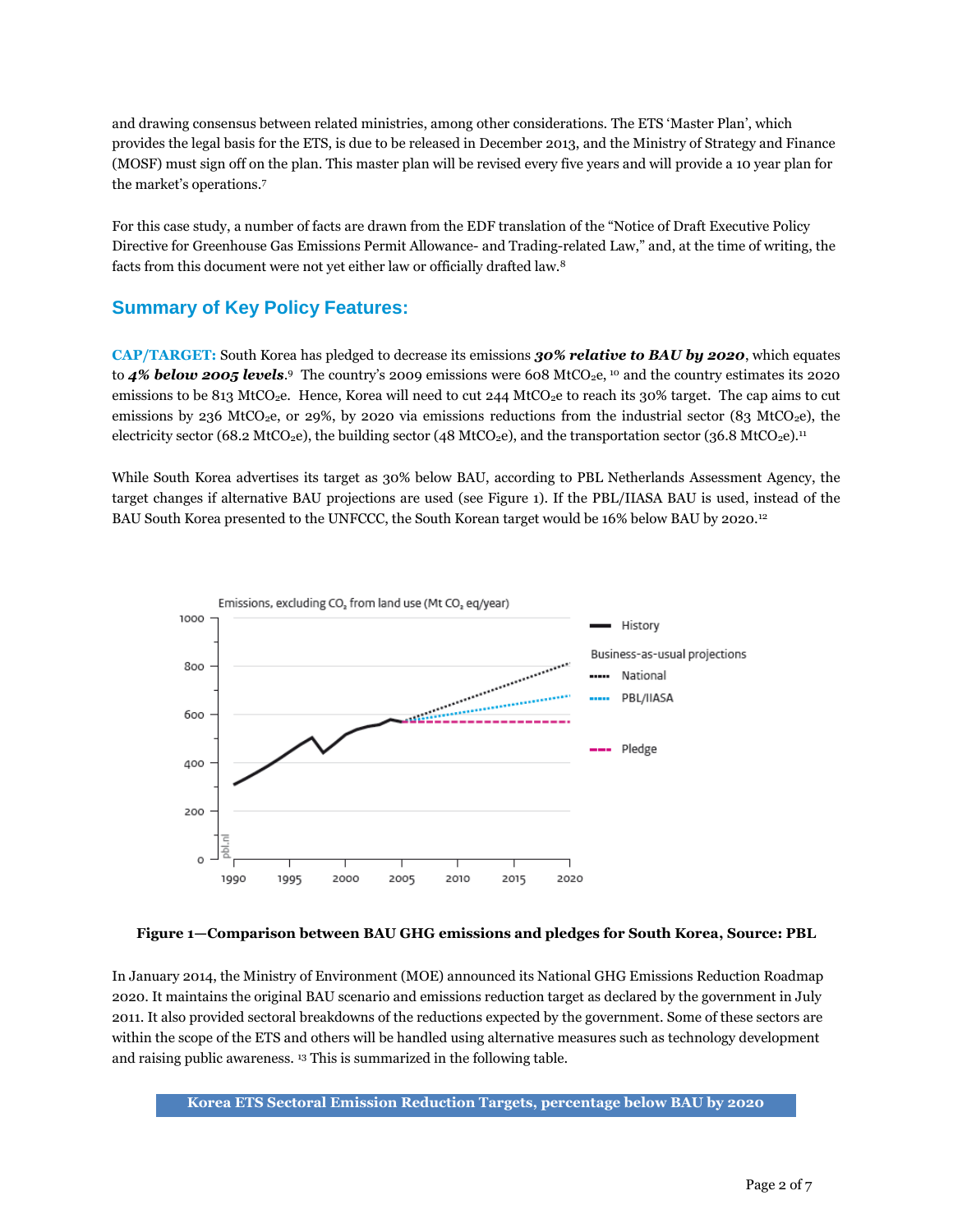and drawing consensus between related ministries, among other considerations. The ETS 'Master Plan', which provides the legal basis for the ETS, is due to be released in December 2013, and the Ministry of Strategy and Finance (MOSF) must sign off on the plan. This master plan will be revised every five years and will provide a 10 year plan for the market's operations.<sup>7</sup>

For this case study, a number of facts are drawn from the EDF translation of the "Notice of Draft Executive Policy Directive for Greenhouse Gas Emissions Permit Allowance- and Trading-related Law," and, at the time of writing, the facts from this document were not yet either law or officially drafted law.<sup>8</sup>

## **Summary of Key Policy Features:**

**CAP/TARGET:** South Korea has pledged to decrease its emissions *30% relative to BAU by 2020*, which equates to 4% below 2005 levels.<sup>9</sup> The country's 2009 emissions were 608 MtCO<sub>2</sub>e, <sup>10</sup> and the country estimates its 2020 emissions to be 813 MtCO<sub>2</sub>e. Hence, Korea will need to cut 244 MtCO<sub>2</sub>e to reach its 30% target. The cap aims to cut emissions by 236 MtCO<sub>2</sub>e, or 29%, by 2020 via emissions reductions from the industrial sector (83 MtCO<sub>2</sub>e), the electricity sector (68.2 MtCO<sub>2</sub>e), the building sector (48 MtCO<sub>2</sub>e), and the transportation sector (36.8 MtCO<sub>2</sub>e).<sup>11</sup>

While South Korea advertises its target as 30% below BAU, according to PBL Netherlands Assessment Agency, the target changes if alternative BAU projections are used (see Figure 1). If the PBL/IIASA BAU is used, instead of the BAU South Korea presented to the UNFCCC, the South Korean target would be 16% below BAU by 2020.<sup>12</sup>



#### **Figure 1—Comparison between BAU GHG emissions and pledges for South Korea, Source: PBL**

In January 2014, the Ministry of Environment (MOE) announced its National GHG Emissions Reduction Roadmap 2020. It maintains the original BAU scenario and emissions reduction target as declared by the government in July 2011. It also provided sectoral breakdowns of the reductions expected by the government. Some of these sectors are within the scope of the ETS and others will be handled using alternative measures such as technology development and raising public awareness. <sup>13</sup> This is summarized in the following table.

**Korea ETS Sectoral Emission Reduction Targets, percentage below BAU by 2020**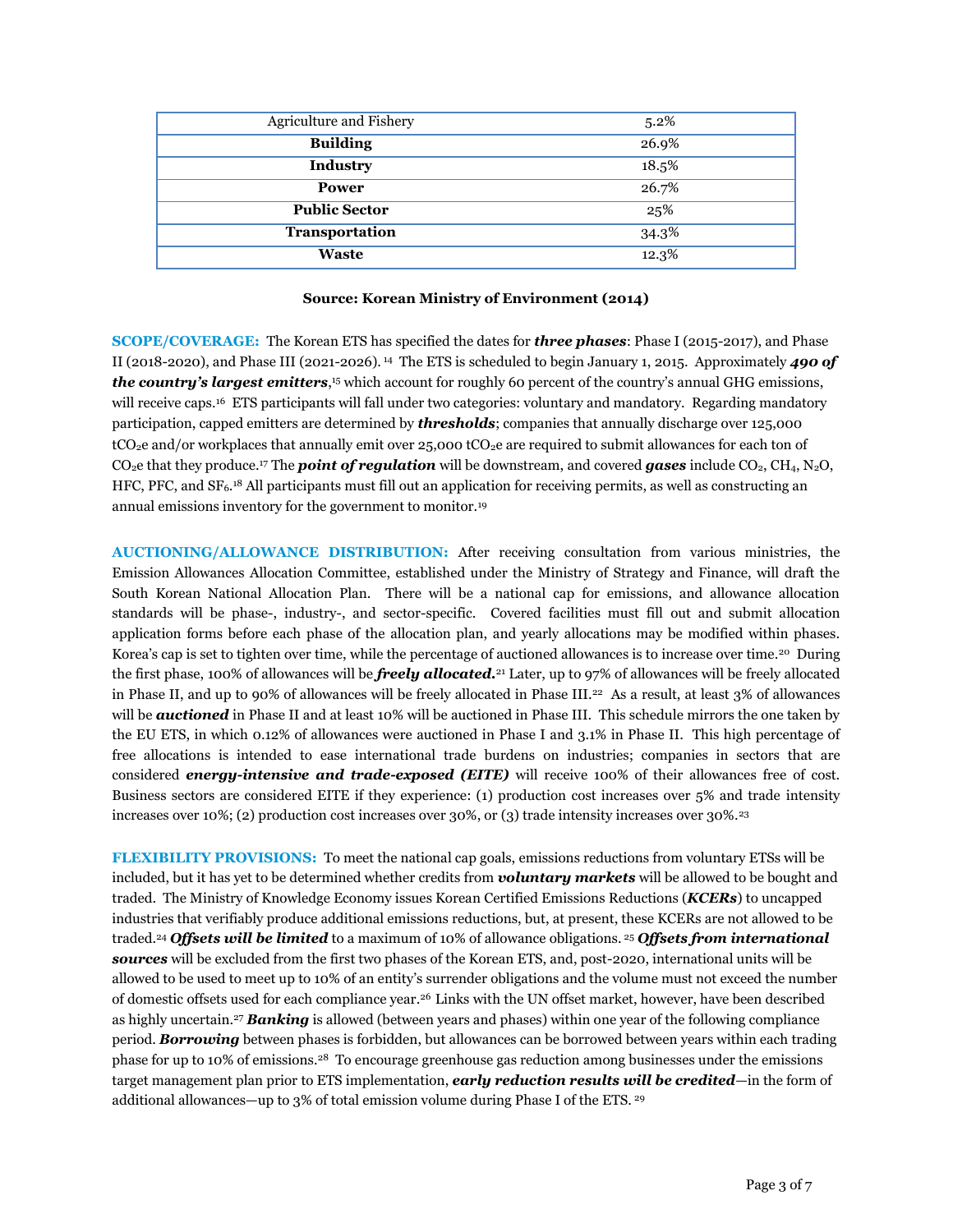| Agriculture and Fishery | 5.2%  |
|-------------------------|-------|
| <b>Building</b>         | 26.9% |
| <b>Industry</b>         | 18.5% |
| <b>Power</b>            | 26.7% |
| <b>Public Sector</b>    | 25%   |
| Transportation          | 34.3% |
| <b>Waste</b>            | 12.3% |

#### **Source: Korean Ministry of Environment (2014)**

**SCOPE/COVERAGE:** The Korean ETS has specified the dates for *three phases*: Phase I (2015-2017), and Phase II (2018-2020), and Phase III (2021-2026). <sup>14</sup> The ETS is scheduled to begin January 1, 2015. Approximately *490 of the country's largest emitters*, <sup>15</sup> which account for roughly 60 percent of the country's annual GHG emissions, will receive caps.<sup>16</sup> ETS participants will fall under two categories: voluntary and mandatory. Regarding mandatory participation, capped emitters are determined by *thresholds*; companies that annually discharge over 125,000 tCO<sub>2</sub>e and/or workplaces that annually emit over 25,000 tCO<sub>2</sub>e are required to submit allowances for each ton of CO<sub>2</sub>e that they produce.<sup>17</sup> The **point of regulation** will be downstream, and covered **gases** include CO<sub>2</sub>, CH<sub>4</sub>, N<sub>2</sub>O, HFC, PFC, and SF6. <sup>18</sup> All participants must fill out an application for receiving permits, as well as constructing an annual emissions inventory for the government to monitor.<sup>19</sup>

**AUCTIONING/ALLOWANCE DISTRIBUTION:** After receiving consultation from various ministries, the Emission Allowances Allocation Committee, established under the Ministry of Strategy and Finance, will draft the South Korean National Allocation Plan. There will be a national cap for emissions, and allowance allocation standards will be phase-, industry-, and sector-specific. Covered facilities must fill out and submit allocation application forms before each phase of the allocation plan, and yearly allocations may be modified within phases. Korea's cap is set to tighten over time, while the percentage of auctioned allowances is to increase over time.<sup>20</sup> During the first phase, 100% of allowances will be *freely allocated.*<sup>21</sup> Later, up to 97% of allowances will be freely allocated in Phase II, and up to 90% of allowances will be freely allocated in Phase III.<sup>22</sup> As a result, at least 3% of allowances will be **auctioned** in Phase II and at least 10% will be auctioned in Phase III. This schedule mirrors the one taken by the EU ETS, in which 0.12% of allowances were auctioned in Phase I and 3.1% in Phase II. This high percentage of free allocations is intended to ease international trade burdens on industries; companies in sectors that are considered *energy-intensive and trade-exposed (EITE)* will receive 100% of their allowances free of cost. Business sectors are considered EITE if they experience: (1) production cost increases over 5% and trade intensity increases over 10%; (2) production cost increases over 30%, or (3) trade intensity increases over 30%.<sup>23</sup>

**FLEXIBILITY PROVISIONS:** To meet the national cap goals, emissions reductions from voluntary ETSs will be included, but it has yet to be determined whether credits from *voluntary markets* will be allowed to be bought and traded. The Ministry of Knowledge Economy issues Korean Certified Emissions Reductions (*KCERs*) to uncapped industries that verifiably produce additional emissions reductions, but, at present, these KCERs are not allowed to be traded.<sup>24</sup> *Offsets will be limited* to a maximum of 10% of allowance obligations. <sup>25</sup> *Offsets from international sources* will be excluded from the first two phases of the Korean ETS, and, post-2020, international units will be allowed to be used to meet up to 10% of an entity's surrender obligations and the volume must not exceed the number of domestic offsets used for each compliance year.<sup>26</sup> Links with the UN offset market, however, have been described as highly uncertain.<sup>27</sup> *Banking* is allowed (between years and phases) within one year of the following compliance period. *Borrowing* between phases is forbidden, but allowances can be borrowed between years within each trading phase for up to 10% of emissions. <sup>28</sup> To encourage greenhouse gas reduction among businesses under the emissions target management plan prior to ETS implementation, *early reduction results will be credited*—in the form of additional allowances—up to 3% of total emission volume during Phase I of the ETS. <sup>29</sup>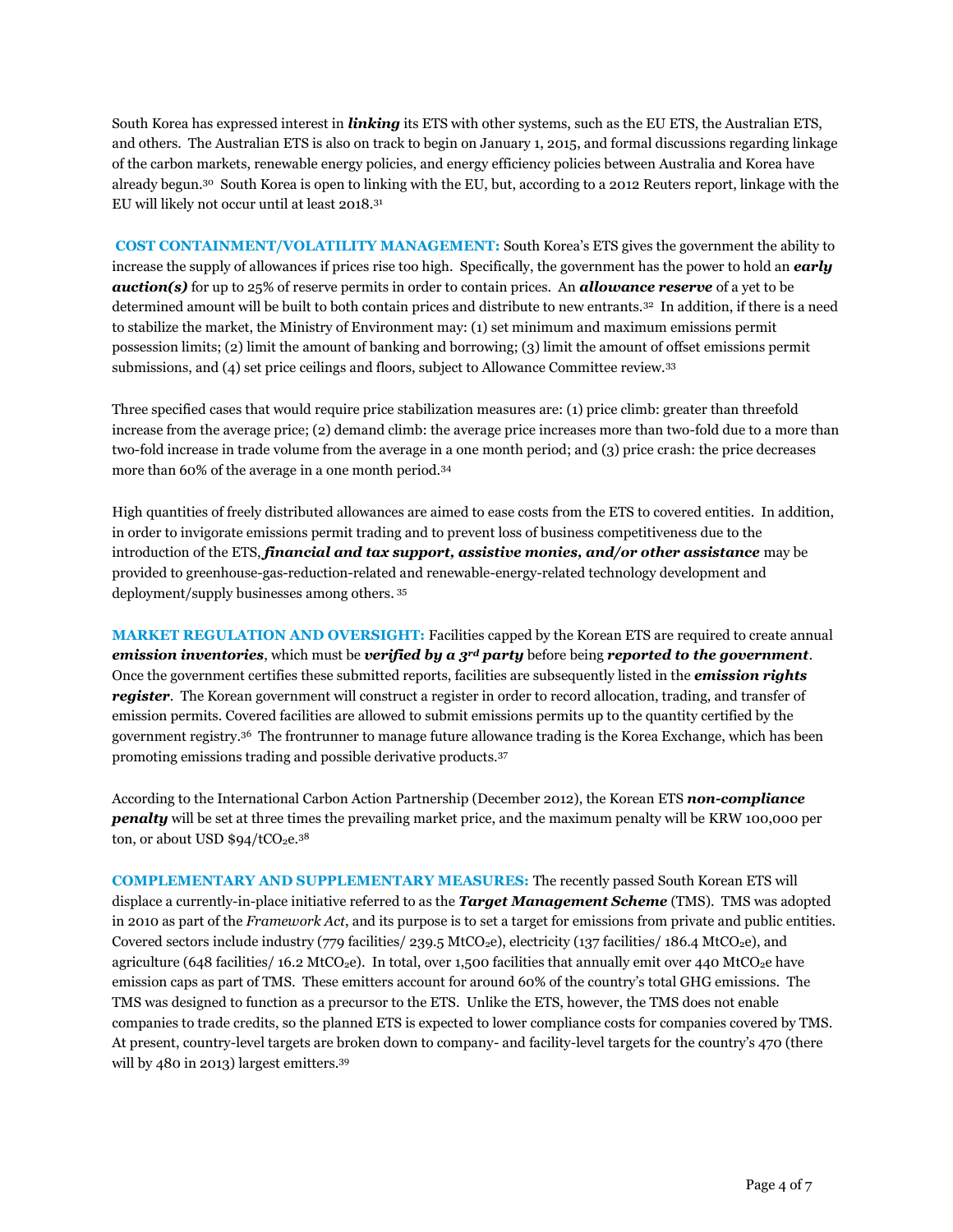South Korea has expressed interest in *linking* its ETS with other systems, such as the EU ETS, the Australian ETS, and others. The Australian ETS is also on track to begin on January 1, 2015, and formal discussions regarding linkage of the carbon markets, renewable energy policies, and energy efficiency policies between Australia and Korea have already begun.<sup>30</sup> South Korea is open to linking with the EU, but, according to a 2012 Reuters report, linkage with the EU will likely not occur until at least 2018.<sup>31</sup>

**COST CONTAINMENT/VOLATILITY MANAGEMENT:** South Korea's ETS gives the government the ability to increase the supply of allowances if prices rise too high. Specifically, the government has the power to hold an *early auction(s)* for up to 25% of reserve permits in order to contain prices. An *allowance reserve* of a yet to be determined amount will be built to both contain prices and distribute to new entrants.<sup>32</sup> In addition, if there is a need to stabilize the market, the Ministry of Environment may: (1) set minimum and maximum emissions permit possession limits; (2) limit the amount of banking and borrowing; (3) limit the amount of offset emissions permit submissions, and (4) set price ceilings and floors, subject to Allowance Committee review.<sup>33</sup>

Three specified cases that would require price stabilization measures are: (1) price climb: greater than threefold increase from the average price; (2) demand climb: the average price increases more than two-fold due to a more than two-fold increase in trade volume from the average in a one month period; and (3) price crash: the price decreases more than 60% of the average in a one month period.<sup>34</sup>

High quantities of freely distributed allowances are aimed to ease costs from the ETS to covered entities. In addition, in order to invigorate emissions permit trading and to prevent loss of business competitiveness due to the introduction of the ETS, *financial and tax support, assistive monies, and/or other assistance* may be provided to greenhouse-gas-reduction-related and renewable-energy-related technology development and deployment/supply businesses among others. <sup>35</sup>

**MARKET REGULATION AND OVERSIGHT:** Facilities capped by the Korean ETS are required to create annual *emission inventories*, which must be *verified by a 3rd party* before being *reported to the government*. Once the government certifies these submitted reports, facilities are subsequently listed in the *emission rights register*. The Korean government will construct a register in order to record allocation, trading, and transfer of emission permits. Covered facilities are allowed to submit emissions permits up to the quantity certified by the government registry.<sup>36</sup> The frontrunner to manage future allowance trading is the Korea Exchange, which has been promoting emissions trading and possible derivative products.<sup>37</sup>

According to the International Carbon Action Partnership (December 2012), the Korean ETS *non-compliance penalty* will be set at three times the prevailing market price, and the maximum penalty will be KRW 100,000 per ton, or about USD  $$94/tCO<sub>2</sub>e<sup>38</sup>$ 

**COMPLEMENTARY AND SUPPLEMENTARY MEASURES:** The recently passed South Korean ETS will displace a currently-in-place initiative referred to as the *Target Management Scheme* (TMS). TMS was adopted in 2010 as part of the *Framework Act*, and its purpose is to set a target for emissions from private and public entities. Covered sectors include industry (779 facilities/ 239.5 MtCO2e), electricity (137 facilities/ 186.4 MtCO2e), and agriculture (648 facilities/ 16.2 MtCO<sub>2</sub>e). In total, over 1,500 facilities that annually emit over 440 MtCO<sub>2</sub>e have emission caps as part of TMS. These emitters account for around 60% of the country's total GHG emissions. The TMS was designed to function as a precursor to the ETS. Unlike the ETS, however, the TMS does not enable companies to trade credits, so the planned ETS is expected to lower compliance costs for companies covered by TMS. At present, country-level targets are broken down to company- and facility-level targets for the country's 470 (there will by 480 in 2013) largest emitters.<sup>39</sup>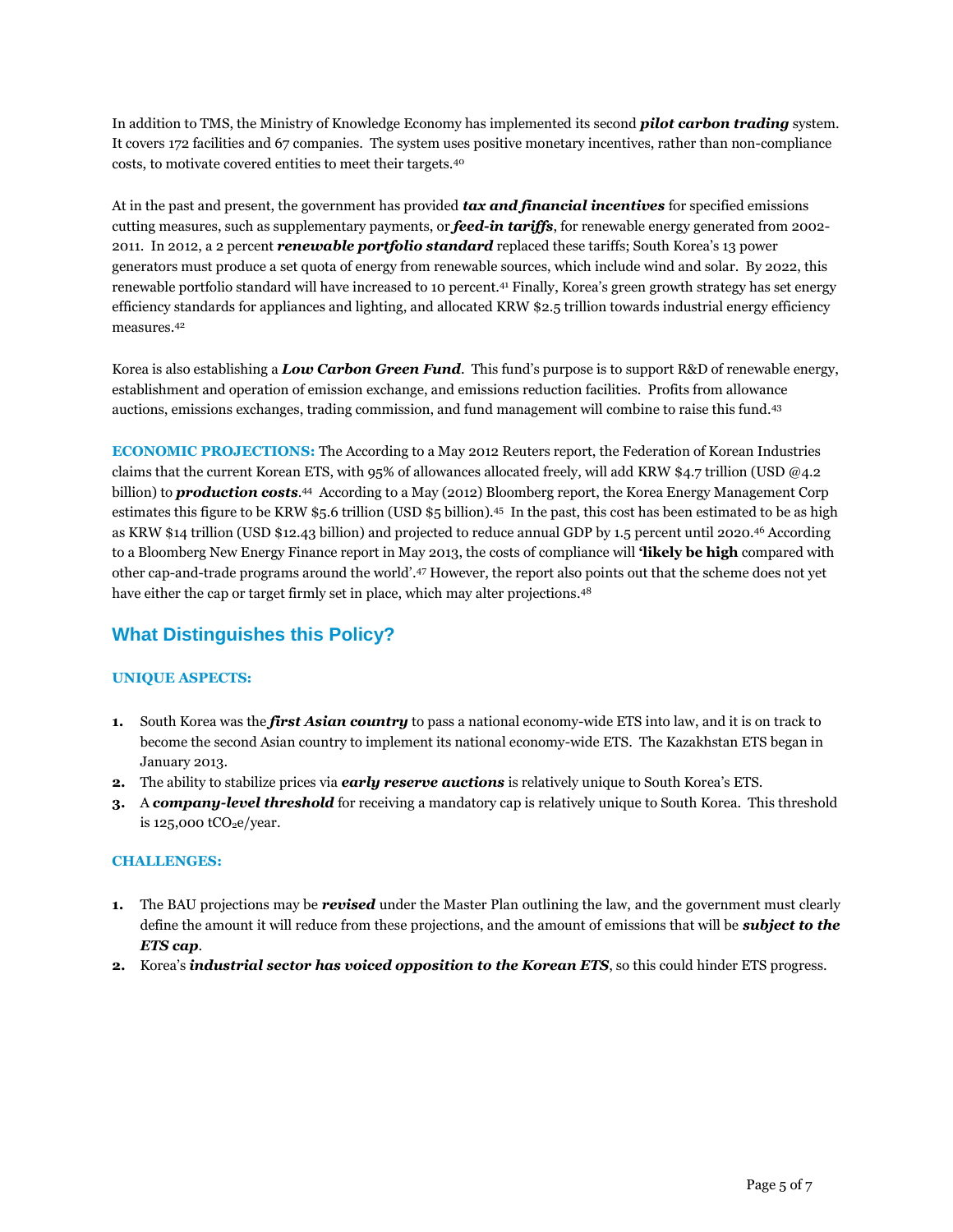In addition to TMS, the Ministry of Knowledge Economy has implemented its second *pilot carbon trading* system. It covers 172 facilities and 67 companies. The system uses positive monetary incentives, rather than non-compliance costs, to motivate covered entities to meet their targets.<sup>40</sup>

At in the past and present, the government has provided *tax and financial incentives* for specified emissions cutting measures, such as supplementary payments, or *feed-in tariffs*, for renewable energy generated from 2002- 2011. In 2012, a 2 percent *renewable portfolio standard* replaced these tariffs; South Korea's 13 power generators must produce a set quota of energy from renewable sources, which include wind and solar. By 2022, this renewable portfolio standard will have increased to 10 percent.<sup>41</sup> Finally, Korea's green growth strategy has set energy efficiency standards for appliances and lighting, and allocated KRW \$2.5 trillion towards industrial energy efficiency measures.<sup>42</sup>

Korea is also establishing a *Low Carbon Green Fund*. This fund's purpose is to support R&D of renewable energy, establishment and operation of emission exchange, and emissions reduction facilities. Profits from allowance auctions, emissions exchanges, trading commission, and fund management will combine to raise this fund.<sup>43</sup>

**ECONOMIC PROJECTIONS:** The According to a May 2012 Reuters report, the Federation of Korean Industries claims that the current Korean ETS, with 95% of allowances allocated freely, will add KRW \$4.7 trillion (USD @4.2 billion) to *production costs*. <sup>44</sup> According to a May (2012) Bloomberg report, the Korea Energy Management Corp estimates this figure to be KRW \$5.6 trillion (USD \$5 billion).<sup>45</sup> In the past, this cost has been estimated to be as high as KRW \$14 trillion (USD \$12.43 billion) and projected to reduce annual GDP by 1.5 percent until 2020.<sup>46</sup> According to a Bloomberg New Energy Finance report in May 2013, the costs of compliance will **'likely be high** compared with other cap-and-trade programs around the world'. <sup>47</sup> However, the report also points out that the scheme does not yet have either the cap or target firmly set in place, which may alter projections. 48

## **What Distinguishes this Policy?**

#### **UNIQUE ASPECTS:**

- **1.** South Korea was the *first Asian country* to pass a national economy-wide ETS into law, and it is on track to become the second Asian country to implement its national economy-wide ETS. The Kazakhstan ETS began in January 2013.
- **2.** The ability to stabilize prices via *early reserve auctions* is relatively unique to South Korea's ETS.
- **3.** A *company-level threshold* for receiving a mandatory cap is relatively unique to South Korea. This threshold is  $125,000$  tCO<sub>2</sub>e/year.

#### **CHALLENGES:**

- **1.** The BAU projections may be *revised* under the Master Plan outlining the law, and the government must clearly define the amount it will reduce from these projections, and the amount of emissions that will be *subject to the ETS cap*.
- **2.** Korea's *industrial sector has voiced opposition to the Korean ETS*, so this could hinder ETS progress.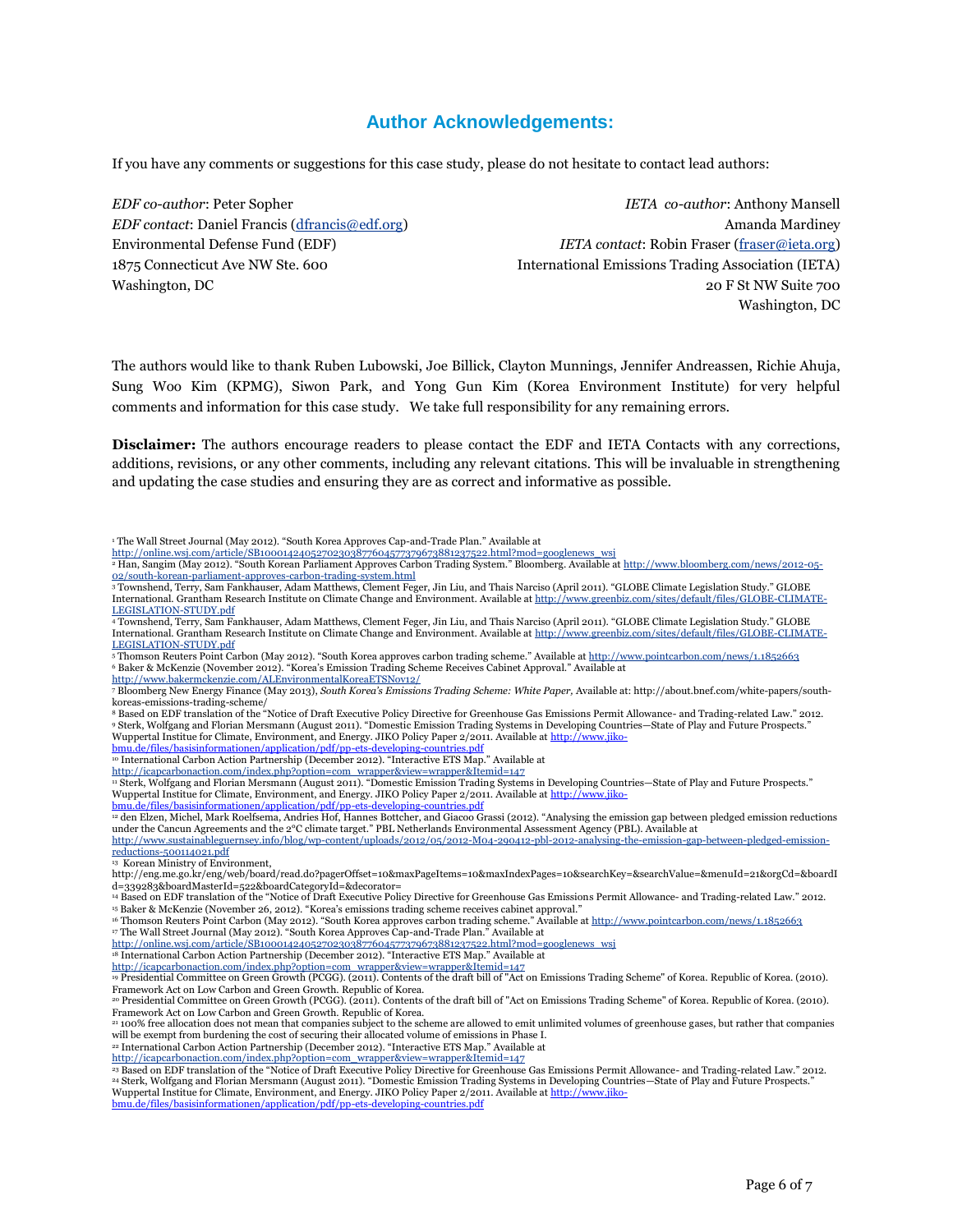### **Author Acknowledgements:**

If you have any comments or suggestions for this case study, please do not hesitate to contact lead authors:

*EDF co-author*: Peter Sopher *EDF contact*: Daniel Francis [\(dfrancis@edf.org\)](mailto:dfrancis@edf.org) Environmental Defense Fund (EDF) 1875 Connecticut Ave NW Ste. 600 Washington, DC

*IETA co-author*: Anthony Mansell Amanda Mardiney *IETA contact*: Robin Fraser [\(fraser@ieta.org\)](mailto:fraser@ieta.org) International Emissions Trading Association (IETA) 20 F St NW Suite 700 Washington, DC

The authors would like to thank Ruben Lubowski, Joe Billick, Clayton Munnings, Jennifer Andreassen, Richie Ahuja, Sung Woo Kim (KPMG), Siwon Park, and Yong Gun Kim (Korea Environment Institute) for very helpful comments and information for this case study. We take full responsibility for any remaining errors.

**Disclaimer:** The authors encourage readers to please contact the EDF and IETA Contacts with any corrections, additions, revisions, or any other comments, including any relevant citations. This will be invaluable in strengthening and updating the case studies and ensuring they are as correct and informative as possible.

<sup>8</sup> Based on EDF translation of the "Notice of Draft Executive Policy Directive for Greenhouse Gas Emissions Permit Allowance- and Trading-related Law." 2012. <sup>9</sup> Sterk, Wolfgang and Florian Mersmann (August 2011). "Domestic Emission Trading Systems in Developing Countries—State of Play and Future Prospects."<br>Wuppertal Institue for Climate, Environment, and Energy. JIKO Policy P

[bmu.de/files/basisinformationen/application/pdf/pp-ets-developing-countries.pdf](http://www.jiko-bmu.de/files/basisinformationen/application/pdf/pp-ets-developing-countries.pdf)

[http://icapcarbonaction.com/index.php?option=com\\_wrapper&view=wrapper&Itemid=147](http://icapcarbonaction.com/index.php?option=com_wrapper&view=wrapper&Itemid=147)

<sup>12</sup> den Elzen, Michel, Mark Roelfsema, Andries Hof, Hannes Bottcher, and Giacoo Grassi (2012). "Analysing the emission gap between pledged emission reductions under the Cancun Agreements and the 2°C climate target." PBL Netherlands Environmental Assessment Agency (PBL). Available at [http://www.sustainableguernsey.info/blog/wp-content/uploads/2012/05/2012-M04-290412-pbl-2012-analysing-the-emission-gap-between-pledged-emission-](http://www.sustainableguernsey.info/blog/wp-content/uploads/2012/05/2012-M04-290412-pbl-2012-analysing-the-emission-gap-between-pledged-emission-reductions-500114021.pdf)

[reductions-500114021.pdf](http://www.sustainableguernsey.info/blog/wp-content/uploads/2012/05/2012-M04-290412-pbl-2012-analysing-the-emission-gap-between-pledged-emission-reductions-500114021.pdf) <sup>13</sup> Korean Ministry of Environment,

http://eng.me.go.kr/eng/web/board/read.do?pagerOffset=10&maxPageItems=10&maxIndexPages=10&searchKey=&searchValue=&menuId=21&orgCd=&boardI d=339283&boardMasterId=522&boardCategoryId=&decorator=

<sup>14</sup> Based on EDF translation of the "Notice of Draft Executive Policy Directive for Greenhouse Gas Emissions Permit Allowance- and Trading-related Law." 2012. <sup>15</sup> Baker & McKenzie (November 26, 2012). "Korea's emissions trading scheme receives cabinet approval."

16 Thomson Reuters Point Carbon (May 2012). "South Korea approves carbon trading scheme." Available at <http://www.pointcarbon.com/news/1.1852663>

<sup>17</sup> The Wall Street Journal (May 2012). "South Korea Approves Cap-and-Trade Plan." Available at

http://online.wsj.com/article/SB10001424052702303877604577379673881237522.html?mod=g

<sup>18</sup> International Carbon Action Partnership (December 2012). "Interactive ETS Map." Available at [http://icapcarbonaction.com/index.php?option=com\\_wrapper&view=wrapper&Itemid=147](http://icapcarbonaction.com/index.php?option=com_wrapper&view=wrapper&Itemid=147) 

<sup>20</sup> Presidential Committee on Green Growth (PCGG). (2011). Contents of the draft bill of "Act on Emissions Trading Scheme" of Korea. Republic of Korea. (2010). Framework Act on Low Carbon and Green Growth. Republic of Korea.

<sup>21</sup> 100% free allocation does not mean that companies subject to the scheme are allowed to emit unlimited volumes of greenhouse gases, but rather that companies will be exempt from burdening the cost of securing their allocated volume of emissions in Phase I.

<sup>22</sup> International Carbon Action Partnership (December 2012). "Interactive ETS Map." Available at [http://icapcarbonaction.com/index.php?option=com\\_wrapper&view=wrapper&Itemid=147](http://icapcarbonaction.com/index.php?option=com_wrapper&view=wrapper&Itemid=147) 

[bmu.de/files/basisinformationen/application/pdf/pp-ets-developing-countries.pdf](http://www.jiko-bmu.de/files/basisinformationen/application/pdf/pp-ets-developing-countries.pdf)

<sup>&</sup>lt;sup>1</sup> The Wall Street Journal (May 2012). "South Korea Approves Cap-and-Trade Plan." Available at

[http://online.wsj.com/article/SB10001424052702303877604577379673881237522.html?mod=googlenews\\_wsj](http://online.wsj.com/article/SB10001424052702303877604577379673881237522.html?mod=googlenews_wsj)<br>ª Han, Sangim (May 2012). "South Korean Parliament Approves Carbon Trading System." Bloomberg. Available at <u>http://www.bloo</u>

<sup>&</sup>lt;u>[02/south-korean-parliament-approves-carbon-trading-system.html](http://www.bloomberg.com/news/2012-05-02/south-korean-parliament-approves-carbon-trading-system.html)</u><br>3 Townshend, Terry, Sam Fankhauser, Adam Matthews, Clement Feger, Jin Liu, and Thais Narciso (April 2011). "GLOBE Climate Legislation Study." GLOBE International. Grantham Research Institute on Climate Change and Environment. Available a[t http://www.greenbiz.com/sites/default/files/GLOBE-CLIMATE-](http://www.greenbiz.com/sites/default/files/GLOBE-CLIMATE-LEGISLATION-STUDY.pdf)[LEGISLATION-STUDY.pdf](http://www.greenbiz.com/sites/default/files/GLOBE-CLIMATE-LEGISLATION-STUDY.pdf)

<sup>4</sup> Townshend, Terry, Sam Fankhauser, Adam Matthews, Clement Feger, Jin Liu, and Thais Narciso (April 2011). "GLOBE Climate Legislation Study." GLOBE International. Grantham Research Institute on Climate Change and Environment. Available at [http://www.greenbiz.com/sites/default/files/GLOBE-CLIMATE-](http://www.greenbiz.com/sites/default/files/GLOBE-CLIMATE-LEGISLATION-STUDY.pdf)[LEGISLATION-STUDY.pdf](http://www.greenbiz.com/sites/default/files/GLOBE-CLIMATE-LEGISLATION-STUDY.pdf)

<sup>5</sup> Thomson Reuters Point Carbon (May 2012). "South Korea approves carbon trading scheme." Available at http://www <sup>6</sup> Baker & McKenzie (November 2012). "Korea's Emission Trading Scheme Receives Cabinet Approval." Available at <http://www.bakermckenzie.com/ALEnvironmentalKoreaETSNov12/>

<sup>7</sup> Bloomberg New Energy Finance (May 2013), *South Korea's Emissions Trading Scheme: White Paper,* Available at: http://about.bnef.com/white-papers/southkoreas-emissions-trading-scheme/

<sup>&</sup>lt;sup>10</sup> International Carbon Action Partnership (December 2012). "Interactive ETS Map." Available at

<sup>11</sup> Sterk, Wolfgang and Florian Mersmann (August 2011). "Domestic Emission Trading Systems in Developing Countries—State of Play and Future Prospects." Wuppertal Institue for Climate, Environment, and Energy. JIKO Policy Paper 2/2011. Available at http:// [bmu.de/files/basisinformationen/application/pdf/pp-ets-developing-countries.pdf](http://www.jiko-bmu.de/files/basisinformationen/application/pdf/pp-ets-developing-countries.pdf)

<sup>19</sup> Presidential Committee on Green Growth (PCGG). (2011). Contents of the draft bill of "Act on Emissions Trading Scheme" of Korea. Republic of Korea. (2010). Framework Act on Low Carbon and Green Growth. Republic of Korea.

<sup>23</sup> Based on EDF translation of the "Notice of Draft Executive Policy Directive for Greenhouse Gas Emissions Permit Allowance- and Trading-related Law." 2012. <sup>24</sup> Sterk, Wolfgang and Florian Mersmann (August 2011). "Domestic Emission Trading Systems in Developing Countries—State of Play and Future Prospects." Wuppertal Institue for Climate, Environment, and Energy. JIKO Policy Paper 2/2011. Available a[t http://www.jiko-](http://www.jiko-bmu.de/files/basisinformationen/application/pdf/pp-ets-developing-countries.pdf)